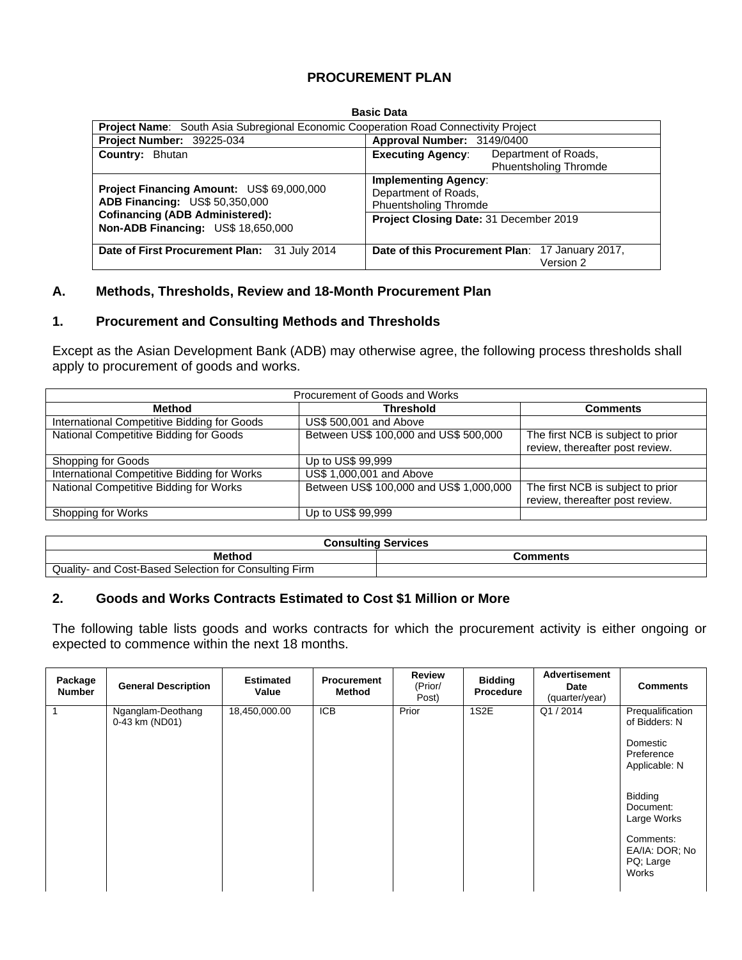# **PROCUREMENT PLAN**

#### **Basic Data**

| <b>Project Name:</b> South Asia Subregional Economic Cooperation Road Connectivity Project |                                                                                     |
|--------------------------------------------------------------------------------------------|-------------------------------------------------------------------------------------|
| Project Number: 39225-034                                                                  | Approval Number: 3149/0400                                                          |
| Country: Bhutan                                                                            | <b>Executing Agency:</b><br>Department of Roads,<br><b>Phuentsholing Thromde</b>    |
| Project Financing Amount: US\$ 69,000,000<br>ADB Financing: US\$ 50,350,000                | <b>Implementing Agency:</b><br>Department of Roads,<br><b>Phuentsholing Thromde</b> |
| <b>Cofinancing (ADB Administered):</b><br>Non-ADB Financing: US\$ 18,650,000               | Project Closing Date: 31 December 2019                                              |
| Date of First Procurement Plan: 31 July 2014                                               | Date of this Procurement Plan: 17 January 2017,<br>Version 2                        |

#### **A. Methods, Thresholds, Review and 18-Month Procurement Plan**

#### **1. Procurement and Consulting Methods and Thresholds**

Except as the Asian Development Bank (ADB) may otherwise agree, the following process thresholds shall apply to procurement of goods and works.

| Procurement of Goods and Works              |                                         |                                                                      |  |  |  |  |  |  |  |
|---------------------------------------------|-----------------------------------------|----------------------------------------------------------------------|--|--|--|--|--|--|--|
| Method                                      | <b>Threshold</b>                        | <b>Comments</b>                                                      |  |  |  |  |  |  |  |
| International Competitive Bidding for Goods | US\$ 500,001 and Above                  |                                                                      |  |  |  |  |  |  |  |
| National Competitive Bidding for Goods      | Between US\$ 100,000 and US\$ 500,000   | The first NCB is subject to prior<br>review, thereafter post review. |  |  |  |  |  |  |  |
| Shopping for Goods                          | Up to US\$ 99,999                       |                                                                      |  |  |  |  |  |  |  |
| International Competitive Bidding for Works | US\$ 1,000,001 and Above                |                                                                      |  |  |  |  |  |  |  |
| National Competitive Bidding for Works      | Between US\$ 100,000 and US\$ 1,000,000 | The first NCB is subject to prior<br>review, thereafter post review. |  |  |  |  |  |  |  |
| Shopping for Works                          | Up to US\$ 99,999                       |                                                                      |  |  |  |  |  |  |  |

| <b>Consulting Services</b>                            |          |  |  |  |
|-------------------------------------------------------|----------|--|--|--|
| <b>Method</b>                                         | Comments |  |  |  |
| Quality- and Cost-Based Selection for Consulting Firm |          |  |  |  |

## **2. Goods and Works Contracts Estimated to Cost \$1 Million or More**

The following table lists goods and works contracts for which the procurement activity is either ongoing or expected to commence within the next 18 months.

| Package<br><b>Number</b> | <b>General Description</b>          | <b>Estimated</b><br>Value | <b>Procurement</b><br>Method | <b>Review</b><br>(Prior/<br>Post) | <b>Bidding</b><br>Procedure | <b>Advertisement</b><br><b>Date</b><br>(quarter/year) | <b>Comments</b>                                                                          |
|--------------------------|-------------------------------------|---------------------------|------------------------------|-----------------------------------|-----------------------------|-------------------------------------------------------|------------------------------------------------------------------------------------------|
|                          | Nganglam-Deothang<br>0-43 km (ND01) | 18,450,000.00             | <b>ICB</b>                   | Prior                             | 1S2E                        | Q1/2014                                               | Prequalification<br>of Bidders: N<br>Domestic<br>Preference<br>Applicable: N             |
|                          |                                     |                           |                              |                                   |                             |                                                       | Bidding<br>Document:<br>Large Works<br>Comments:<br>EA/IA: DOR: No<br>PQ; Large<br>Works |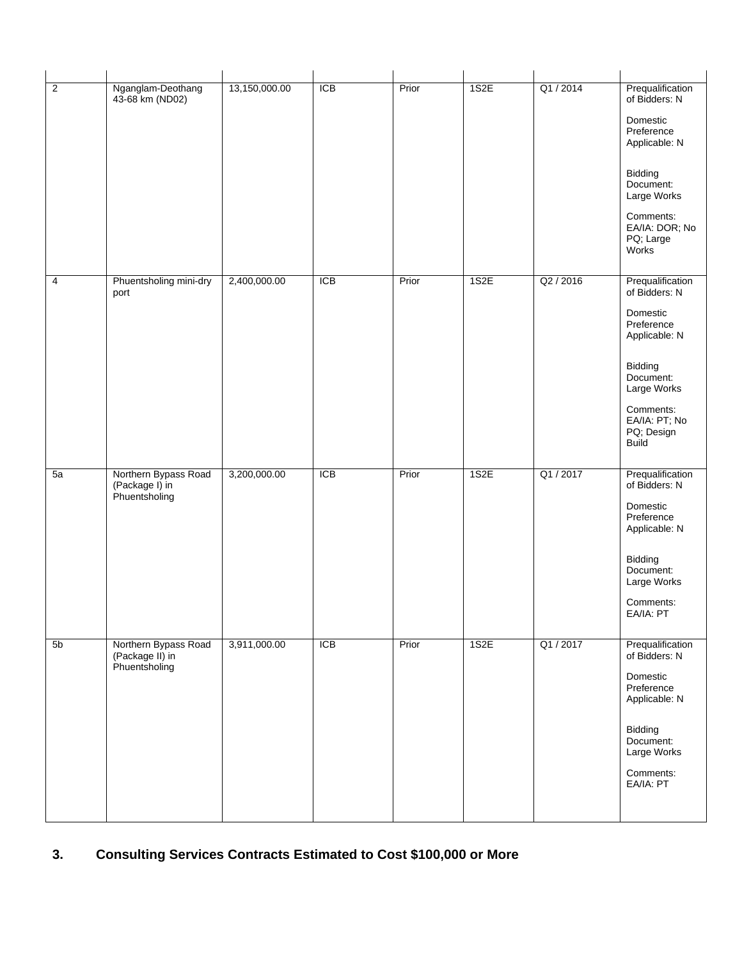| $\overline{2}$ | Nganglam-Deothang<br>43-68 km (ND02)                     | 13,150,000.00 | <b>ICB</b> | Prior | 1S2E | Q1/2014   | Prequalification<br>of Bidders: N<br>Domestic<br>Preference<br>Applicable: N<br>Bidding<br>Document:<br>Large Works<br>Comments:<br>EA/IA: DOR; No<br>PQ; Large<br>Works        |
|----------------|----------------------------------------------------------|---------------|------------|-------|------|-----------|---------------------------------------------------------------------------------------------------------------------------------------------------------------------------------|
| $\overline{4}$ | Phuentsholing mini-dry<br>port                           | 2,400,000.00  | <b>ICB</b> | Prior | 1S2E | Q2 / 2016 | Prequalification<br>of Bidders: N<br>Domestic<br>Preference<br>Applicable: N<br>Bidding<br>Document:<br>Large Works<br>Comments:<br>EA/IA: PT; No<br>PQ; Design<br><b>Build</b> |
| 5a             | Northern Bypass Road<br>(Package I) in<br>Phuentsholing  | 3,200,000.00  | ICB        | Prior | 1S2E | Q1 / 2017 | Prequalification<br>of Bidders: N<br>Domestic<br>Preference<br>Applicable: N<br>Bidding<br>Document:<br>Large Works<br>Comments:<br>EA/IA: PT                                   |
| 5b             | Northern Bypass Road<br>(Package II) in<br>Phuentsholing | 3,911,000.00  | <b>ICB</b> | Prior | 1S2E | Q1/2017   | Prequalification<br>of Bidders: N<br>Domestic<br>Preference<br>Applicable: N<br>Bidding<br>Document:<br>Large Works<br>Comments:<br>EA/IA: PT                                   |

# **3. Consulting Services Contracts Estimated to Cost \$100,000 or More**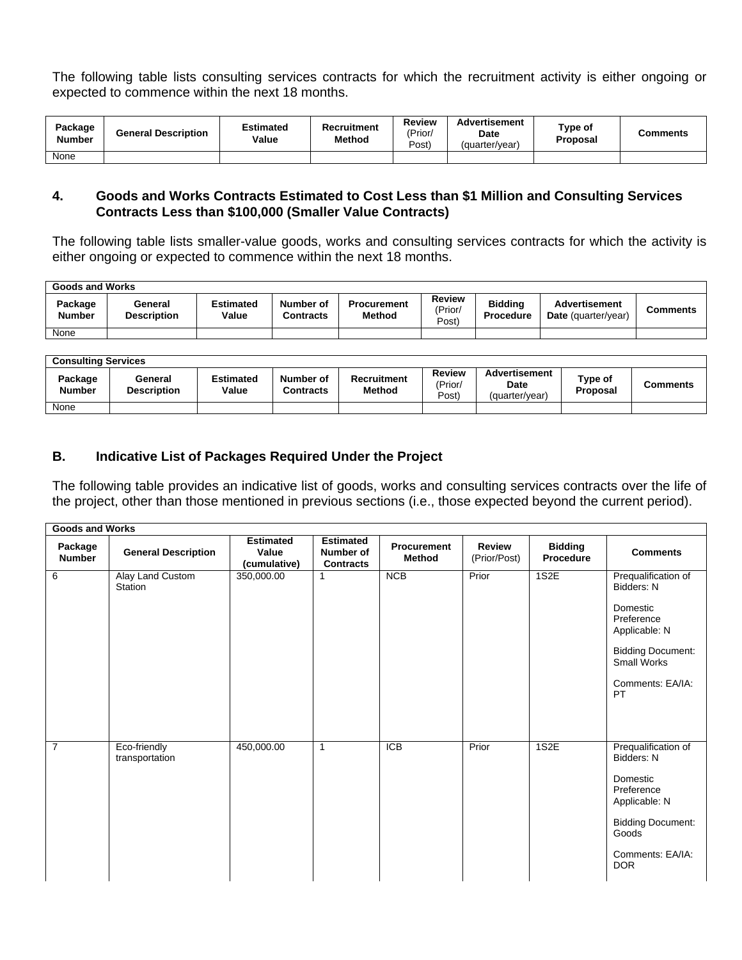The following table lists consulting services contracts for which the recruitment activity is either ongoing or expected to commence within the next 18 months.

| Package<br><b>Number</b> | <b>General Description</b> | <b>Estimated</b><br>Value | Recruitment<br><b>Method</b> | <b>Review</b><br>(Prior/<br>Posť | <b>Advertisement</b><br><b>Date</b><br>(quarter/year) | Type of<br>Proposal | Comments |
|--------------------------|----------------------------|---------------------------|------------------------------|----------------------------------|-------------------------------------------------------|---------------------|----------|
| None                     |                            |                           |                              |                                  |                                                       |                     |          |

#### **4. Goods and Works Contracts Estimated to Cost Less than \$1 Million and Consulting Services Contracts Less than \$100,000 (Smaller Value Contracts)**

The following table lists smaller-value goods, works and consulting services contracts for which the activity is either ongoing or expected to commence within the next 18 months.

| Goods and Works          |                               |                           |                               |                              |                                   |                             |                                             |                 |  |  |
|--------------------------|-------------------------------|---------------------------|-------------------------------|------------------------------|-----------------------------------|-----------------------------|---------------------------------------------|-----------------|--|--|
| Package<br><b>Number</b> | General<br><b>Description</b> | <b>Estimated</b><br>Value | Number of<br><b>Contracts</b> | <b>Procurement</b><br>Method | <b>Review</b><br>(Prior/<br>(Post | <b>Biddina</b><br>Procedure | <b>Advertisement</b><br>Date (quarter/year) | <b>Comments</b> |  |  |
| None                     |                               |                           |                               |                              |                                   |                             |                                             |                 |  |  |

|                          | <b>Consulting Services</b>    |                           |                        |                              |                            |                                         |                            |          |  |  |  |
|--------------------------|-------------------------------|---------------------------|------------------------|------------------------------|----------------------------|-----------------------------------------|----------------------------|----------|--|--|--|
| Package<br><b>Number</b> | General<br><b>Description</b> | <b>Estimated</b><br>Value | Number of<br>Contracts | Recruitment<br><b>Method</b> | Review<br>(Prior/<br>Post) | Advertisement<br>Date<br>(quarter/vear) | Type of<br><b>Proposal</b> | Comments |  |  |  |
| None                     |                               |                           |                        |                              |                            |                                         |                            |          |  |  |  |

# **B. Indicative List of Packages Required Under the Project**

The following table provides an indicative list of goods, works and consulting services contracts over the life of the project, other than those mentioned in previous sections (i.e., those expected beyond the current period).

| <b>Goods and Works</b>   |                                |                                           |                                                   |                                     |                               |                                    |                                                                                                                                                     |
|--------------------------|--------------------------------|-------------------------------------------|---------------------------------------------------|-------------------------------------|-------------------------------|------------------------------------|-----------------------------------------------------------------------------------------------------------------------------------------------------|
| Package<br><b>Number</b> | <b>General Description</b>     | <b>Estimated</b><br>Value<br>(cumulative) | <b>Estimated</b><br>Number of<br><b>Contracts</b> | <b>Procurement</b><br><b>Method</b> | <b>Review</b><br>(Prior/Post) | <b>Bidding</b><br><b>Procedure</b> | <b>Comments</b>                                                                                                                                     |
| 6                        | Alay Land Custom<br>Station    | 350,000.00                                | 1                                                 | <b>NCB</b>                          | Prior                         | 1S2E                               | Prequalification of<br>Bidders: N<br>Domestic<br>Preference<br>Applicable: N<br><b>Bidding Document:</b><br>Small Works<br>Comments: EA/IA:<br>PT   |
| $\overline{7}$           | Eco-friendly<br>transportation | 450,000.00                                | $\mathbf{1}$                                      | <b>ICB</b>                          | Prior                         | 1S2E                               | Prequalification of<br>Bidders: N<br>Domestic<br>Preference<br>Applicable: N<br><b>Bidding Document:</b><br>Goods<br>Comments: EA/IA:<br><b>DOR</b> |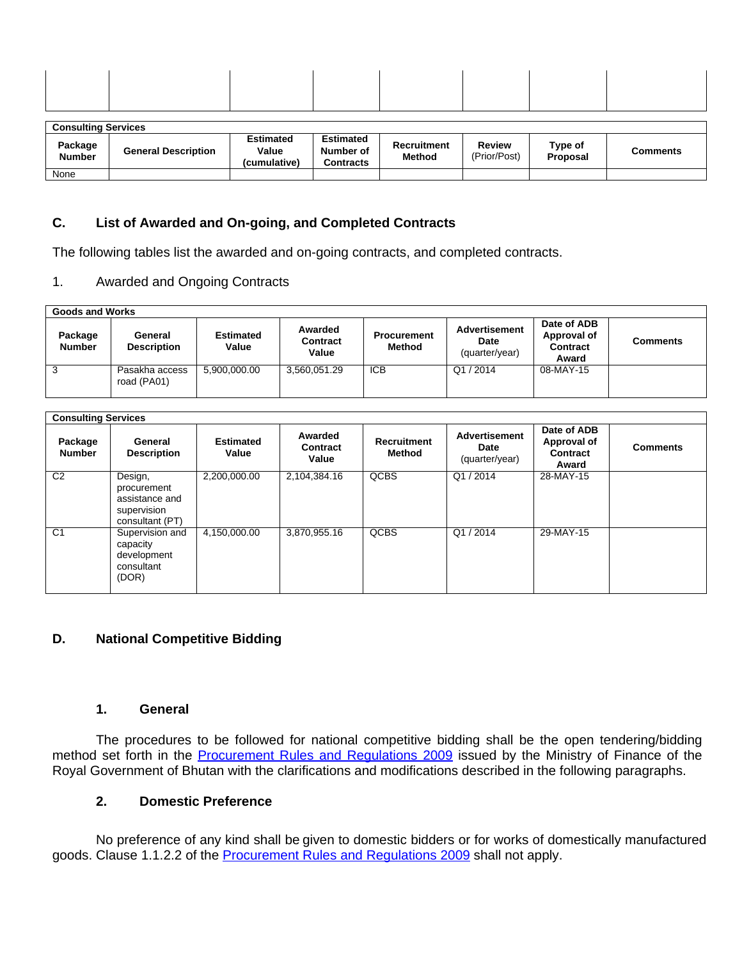| <b>Consulting Services</b> |  |  |  |  |  |  |  |  |  |
|----------------------------|--|--|--|--|--|--|--|--|--|
|                            |  |  |  |  |  |  |  |  |  |

| Package<br><b>Number</b> | <b>General Description</b> | Estimated<br>Value<br>(cumulative) | <b>Estimated</b><br>Number of<br>Contracts | Recruitment<br><b>Method</b> | Review<br>(Prior/Post) | Type of<br>Proposal | Comments |
|--------------------------|----------------------------|------------------------------------|--------------------------------------------|------------------------------|------------------------|---------------------|----------|
| None                     |                            |                                    |                                            |                              |                        |                     |          |

# **C. List of Awarded and On-going, and Completed Contracts**

The following tables list the awarded and on-going contracts, and completed contracts.

## 1. Awarded and Ongoing Contracts

| Goods and Works          |                               |                           |                                     |                              |                                                       |                                                        |                 |  |  |  |
|--------------------------|-------------------------------|---------------------------|-------------------------------------|------------------------------|-------------------------------------------------------|--------------------------------------------------------|-----------------|--|--|--|
| Package<br><b>Number</b> | General<br><b>Description</b> | <b>Estimated</b><br>Value | Awarded<br><b>Contract</b><br>Value | <b>Procurement</b><br>Method | <b>Advertisement</b><br><b>Date</b><br>(quarter/year) | Date of ADB<br>Approval of<br><b>Contract</b><br>Award | <b>Comments</b> |  |  |  |
|                          | Pasakha access<br>road (PA01) | 5,900,000.00              | 3,560,051.29                        | <b>ICB</b>                   | Q1/2014                                               | 08-MAY-15                                              |                 |  |  |  |

| <b>Consulting Services</b> |                                                                            |                           |                              |                              |                                                |                                                 |                 |
|----------------------------|----------------------------------------------------------------------------|---------------------------|------------------------------|------------------------------|------------------------------------------------|-------------------------------------------------|-----------------|
| Package<br><b>Number</b>   | General<br><b>Description</b>                                              | <b>Estimated</b><br>Value | Awarded<br>Contract<br>Value | <b>Recruitment</b><br>Method | <b>Advertisement</b><br>Date<br>(quarter/year) | Date of ADB<br>Approval of<br>Contract<br>Award | <b>Comments</b> |
| C <sub>2</sub>             | Design,<br>procurement<br>assistance and<br>supervision<br>consultant (PT) | 2,200,000.00              | 2,104,384.16                 | QCBS                         | Q1/2014                                        | 28-MAY-15                                       |                 |
| C <sub>1</sub>             | Supervision and<br>capacity<br>development<br>consultant<br>(DOR)          | 4,150,000.00              | 3,870,955.16                 | <b>QCBS</b>                  | Q1/2014                                        | 29-MAY-15                                       |                 |

# **D. National Competitive Bidding**

#### **1. General**

The procedures to be followed for national competitive bidding shall be the open tendering/bidding method set forth in the **[Procurement](http://www.mof.gov.bt/downloads/procurementmanual1.pdf) Rules and Regulations 2009** issued by the Ministry of Finance of the Royal Government of Bhutan with the clarifications and modifications described in the following paragraphs.

# **2. Domestic Preference**

No preference of any kind shall be given to domestic bidders or for works of domestically manufactured goods. Clause 1.1.2.2 of the [Procurement](http://www.mof.gov.bt/downloads/procurementmanual1.pdf) Rules and Regulations 2009 shall not apply.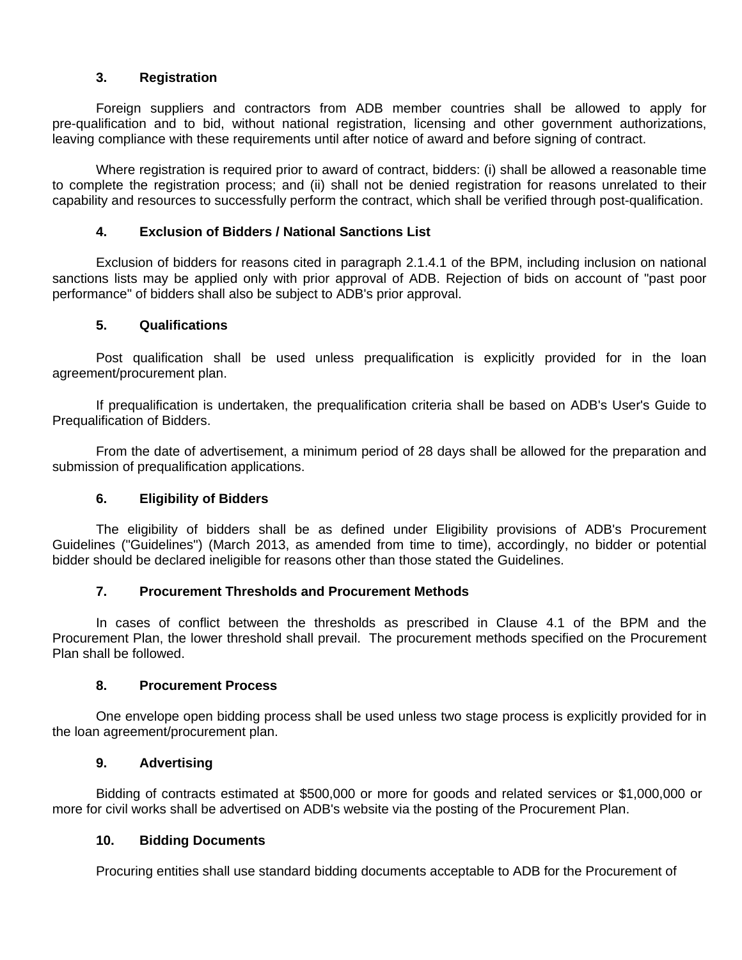# **3. Registration**

Foreign suppliers and contractors from ADB member countries shall be allowed to apply for pre-qualification and to bid, without national registration, licensing and other government authorizations, leaving compliance with these requirements until after notice of award and before signing of contract.

Where registration is required prior to award of contract, bidders: (i) shall be allowed a reasonable time to complete the registration process; and (ii) shall not be denied registration for reasons unrelated to their capability and resources to successfully perform the contract, which shall be verified through post-qualification.

## **4. Exclusion of Bidders / National Sanctions List**

Exclusion of bidders for reasons cited in paragraph 2.1.4.1 of the BPM, including inclusion on national sanctions lists may be applied only with prior approval of ADB. Rejection of bids on account of "past poor performance" of bidders shall also be subject to ADB's prior approval.

## **5. Qualifications**

Post qualification shall be used unless prequalification is explicitly provided for in the loan agreement/procurement plan.

If prequalification is undertaken, the prequalification criteria shall be based on ADB's User's Guide to Prequalification of Bidders.

From the date of advertisement, a minimum period of 28 days shall be allowed for the preparation and submission of prequalification applications.

## **6. Eligibility of Bidders**

The eligibility of bidders shall be as defined under Eligibility provisions of ADB's Procurement Guidelines ("Guidelines") (March 2013, as amended from time to time), accordingly, no bidder or potential bidder should be declared ineligible for reasons other than those stated the Guidelines.

## **7. Procurement Thresholds and Procurement Methods**

In cases of conflict between the thresholds as prescribed in Clause 4.1 of the BPM and the Procurement Plan, the lower threshold shall prevail. The procurement methods specified on the Procurement Plan shall be followed.

#### **8. Procurement Process**

One envelope open bidding process shall be used unless two stage process is explicitly provided for in the loan agreement/procurement plan.

## **9. Advertising**

Bidding of contracts estimated at \$500,000 or more for goods and related services or \$1,000,000 or more for civil works shall be advertised on ADB's website via the posting of the Procurement Plan.

#### **10. Bidding Documents**

Procuring entities shall use standard bidding documents acceptable to ADB for the Procurement of